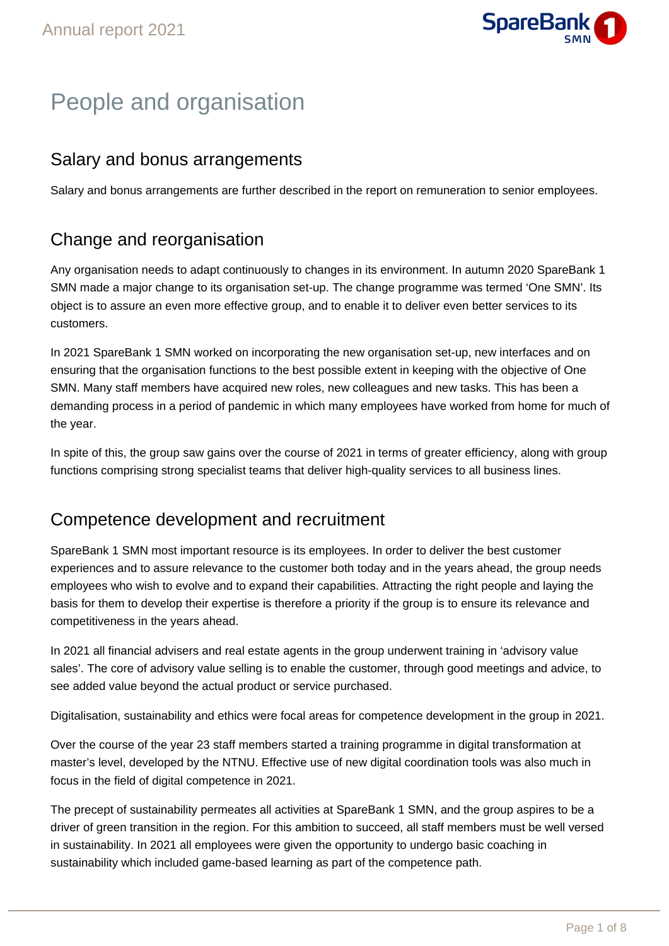

# People and organisation

### Salary and bonus arrangements

Salary and bonus arrangements are further described in the report on remuneration to senior employees.

## Change and reorganisation

Any organisation needs to adapt continuously to changes in its environment. In autumn 2020 SpareBank 1 SMN made a major change to its organisation set-up. The change programme was termed 'One SMN'. Its object is to assure an even more effective group, and to enable it to deliver even better services to its customers.

In 2021 SpareBank 1 SMN worked on incorporating the new organisation set-up, new interfaces and on ensuring that the organisation functions to the best possible extent in keeping with the objective of One SMN. Many staff members have acquired new roles, new colleagues and new tasks. This has been a demanding process in a period of pandemic in which many employees have worked from home for much of the year.

In spite of this, the group saw gains over the course of 2021 in terms of greater efficiency, along with group functions comprising strong specialist teams that deliver high-quality services to all business lines.

### Competence development and recruitment

SpareBank 1 SMN most important resource is its employees. In order to deliver the best customer experiences and to assure relevance to the customer both today and in the years ahead, the group needs employees who wish to evolve and to expand their capabilities. Attracting the right people and laying the basis for them to develop their expertise is therefore a priority if the group is to ensure its relevance and competitiveness in the years ahead.

In 2021 all financial advisers and real estate agents in the group underwent training in 'advisory value sales'. The core of advisory value selling is to enable the customer, through good meetings and advice, to see added value beyond the actual product or service purchased.

Digitalisation, sustainability and ethics were focal areas for competence development in the group in 2021.

Over the course of the year 23 staff members started a training programme in digital transformation at master's level, developed by the NTNU. Effective use of new digital coordination tools was also much in focus in the field of digital competence in 2021.

The precept of sustainability permeates all activities at SpareBank 1 SMN, and the group aspires to be a driver of green transition in the region. For this ambition to succeed, all staff members must be well versed in sustainability. In 2021 all employees were given the opportunity to undergo basic coaching in sustainability which included game-based learning as part of the competence path.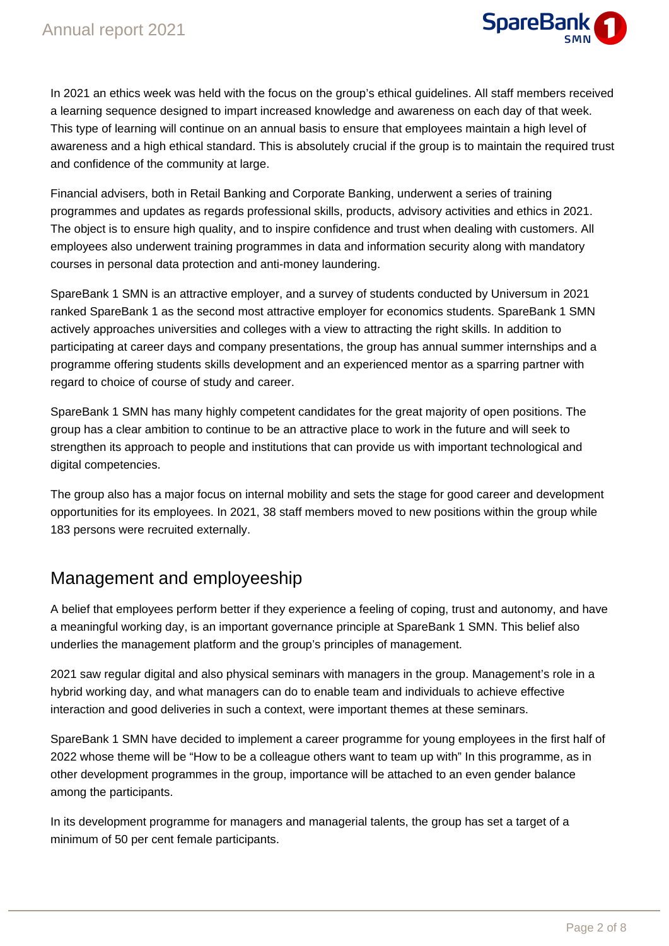

In 2021 an ethics week was held with the focus on the group's ethical guidelines. All staff members received a learning sequence designed to impart increased knowledge and awareness on each day of that week. This type of learning will continue on an annual basis to ensure that employees maintain a high level of awareness and a high ethical standard. This is absolutely crucial if the group is to maintain the required trust and confidence of the community at large.

Financial advisers, both in Retail Banking and Corporate Banking, underwent a series of training programmes and updates as regards professional skills, products, advisory activities and ethics in 2021. The object is to ensure high quality, and to inspire confidence and trust when dealing with customers. All employees also underwent training programmes in data and information security along with mandatory courses in personal data protection and anti-money laundering.

SpareBank 1 SMN is an attractive employer, and a survey of students conducted by Universum in 2021 ranked SpareBank 1 as the second most attractive employer for economics students. SpareBank 1 SMN actively approaches universities and colleges with a view to attracting the right skills. In addition to participating at career days and company presentations, the group has annual summer internships and a programme offering students skills development and an experienced mentor as a sparring partner with regard to choice of course of study and career.

SpareBank 1 SMN has many highly competent candidates for the great majority of open positions. The group has a clear ambition to continue to be an attractive place to work in the future and will seek to strengthen its approach to people and institutions that can provide us with important technological and digital competencies.

The group also has a major focus on internal mobility and sets the stage for good career and development opportunities for its employees. In 2021, 38 staff members moved to new positions within the group while 183 persons were recruited externally.

### Management and employeeship

A belief that employees perform better if they experience a feeling of coping, trust and autonomy, and have a meaningful working day, is an important governance principle at SpareBank 1 SMN. This belief also underlies the management platform and the group's principles of management.

2021 saw regular digital and also physical seminars with managers in the group. Management's role in a hybrid working day, and what managers can do to enable team and individuals to achieve effective interaction and good deliveries in such a context, were important themes at these seminars.

SpareBank 1 SMN have decided to implement a career programme for young employees in the first half of 2022 whose theme will be "How to be a colleague others want to team up with" In this programme, as in other development programmes in the group, importance will be attached to an even gender balance among the participants.

In its development programme for managers and managerial talents, the group has set a target of a minimum of 50 per cent female participants.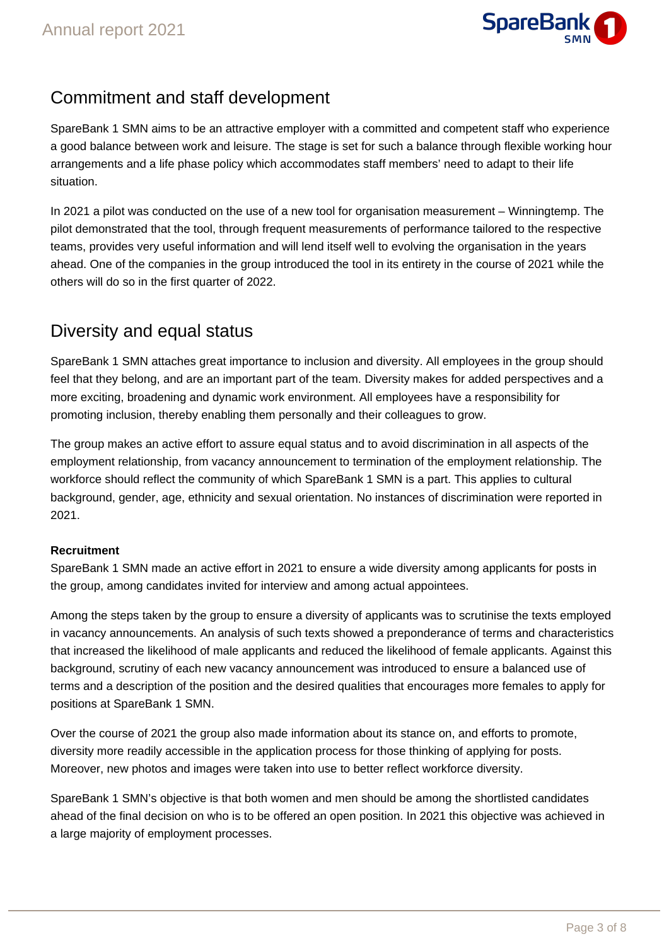

### Commitment and staff development

SpareBank 1 SMN aims to be an attractive employer with a committed and competent staff who experience a good balance between work and leisure. The stage is set for such a balance through flexible working hour arrangements and a life phase policy which accommodates staff members' need to adapt to their life situation.

In 2021 a pilot was conducted on the use of a new tool for organisation measurement – Winningtemp. The pilot demonstrated that the tool, through frequent measurements of performance tailored to the respective teams, provides very useful information and will lend itself well to evolving the organisation in the years ahead. One of the companies in the group introduced the tool in its entirety in the course of 2021 while the others will do so in the first quarter of 2022.

### Diversity and equal status

SpareBank 1 SMN attaches great importance to inclusion and diversity. All employees in the group should feel that they belong, and are an important part of the team. Diversity makes for added perspectives and a more exciting, broadening and dynamic work environment. All employees have a responsibility for promoting inclusion, thereby enabling them personally and their colleagues to grow.

The group makes an active effort to assure equal status and to avoid discrimination in all aspects of the employment relationship, from vacancy announcement to termination of the employment relationship. The workforce should reflect the community of which SpareBank 1 SMN is a part. This applies to cultural background, gender, age, ethnicity and sexual orientation. No instances of discrimination were reported in 2021.

### **Recruitment**

SpareBank 1 SMN made an active effort in 2021 to ensure a wide diversity among applicants for posts in the group, among candidates invited for interview and among actual appointees.

Among the steps taken by the group to ensure a diversity of applicants was to scrutinise the texts employed in vacancy announcements. An analysis of such texts showed a preponderance of terms and characteristics that increased the likelihood of male applicants and reduced the likelihood of female applicants. Against this background, scrutiny of each new vacancy announcement was introduced to ensure a balanced use of terms and a description of the position and the desired qualities that encourages more females to apply for positions at SpareBank 1 SMN.

Over the course of 2021 the group also made information about its stance on, and efforts to promote, diversity more readily accessible in the application process for those thinking of applying for posts. Moreover, new photos and images were taken into use to better reflect workforce diversity.

SpareBank 1 SMN's objective is that both women and men should be among the shortlisted candidates ahead of the final decision on who is to be offered an open position. In 2021 this objective was achieved in a large majority of employment processes.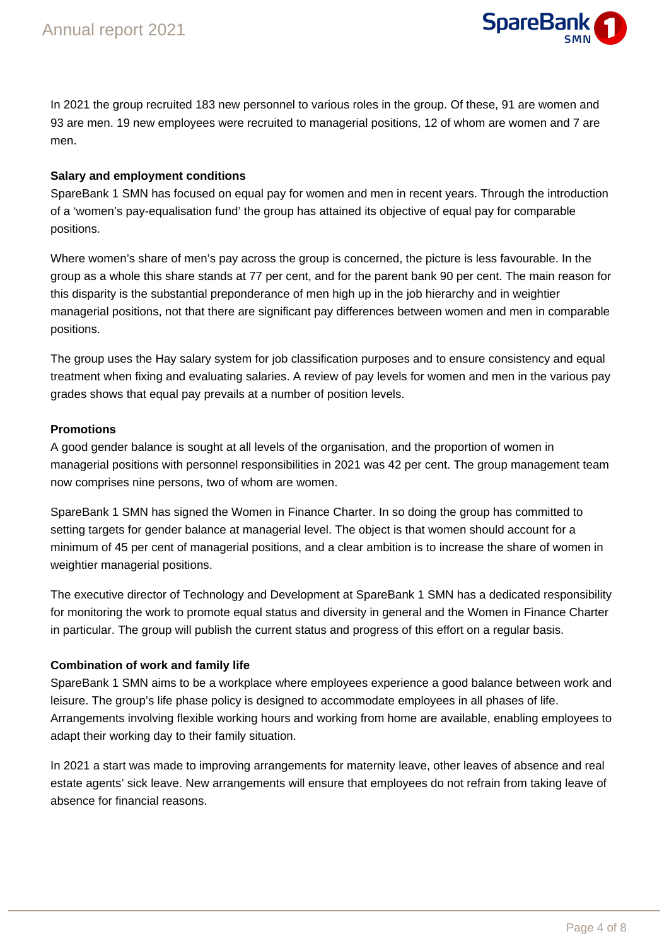

In 2021 the group recruited 183 new personnel to various roles in the group. Of these, 91 are women and 93 are men. 19 new employees were recruited to managerial positions, 12 of whom are women and 7 are men.

#### **Salary and employment conditions**

SpareBank 1 SMN has focused on equal pay for women and men in recent years. Through the introduction of a 'women's pay-equalisation fund' the group has attained its objective of equal pay for comparable positions.

Where women's share of men's pay across the group is concerned, the picture is less favourable. In the group as a whole this share stands at 77 per cent, and for the parent bank 90 per cent. The main reason for this disparity is the substantial preponderance of men high up in the job hierarchy and in weightier managerial positions, not that there are significant pay differences between women and men in comparable positions.

The group uses the Hay salary system for job classification purposes and to ensure consistency and equal treatment when fixing and evaluating salaries. A review of pay levels for women and men in the various pay grades shows that equal pay prevails at a number of position levels.

#### **Promotions**

A good gender balance is sought at all levels of the organisation, and the proportion of women in managerial positions with personnel responsibilities in 2021 was 42 per cent. The group management team now comprises nine persons, two of whom are women.

SpareBank 1 SMN has signed the Women in Finance Charter. In so doing the group has committed to setting targets for gender balance at managerial level. The object is that women should account for a minimum of 45 per cent of managerial positions, and a clear ambition is to increase the share of women in weightier managerial positions.

The executive director of Technology and Development at SpareBank 1 SMN has a dedicated responsibility for monitoring the work to promote equal status and diversity in general and the Women in Finance Charter in particular. The group will publish the current status and progress of this effort on a regular basis.

#### **Combination of work and family life**

SpareBank 1 SMN aims to be a workplace where employees experience a good balance between work and leisure. The group's life phase policy is designed to accommodate employees in all phases of life. Arrangements involving flexible working hours and working from home are available, enabling employees to adapt their working day to their family situation.

In 2021 a start was made to improving arrangements for maternity leave, other leaves of absence and real estate agents' sick leave. New arrangements will ensure that employees do not refrain from taking leave of absence for financial reasons.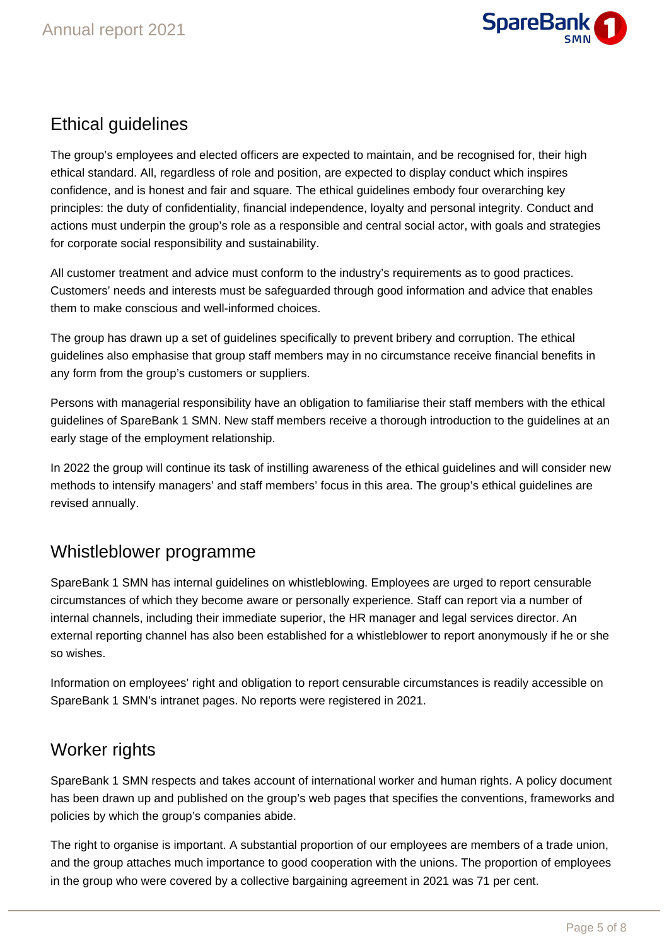

### Ethical guidelines

The group's employees and elected officers are expected to maintain, and be recognised for, their high ethical standard. All, regardless of role and position, are expected to display conduct which inspires confidence, and is honest and fair and square. The ethical guidelines embody four overarching key principles: the duty of confidentiality, financial independence, loyalty and personal integrity. Conduct and actions must underpin the group's role as a responsible and central social actor, with goals and strategies for corporate social responsibility and sustainability.

All customer treatment and advice must conform to the industry's requirements as to good practices. Customers' needs and interests must be safeguarded through good information and advice that enables them to make conscious and well-informed choices.

The group has drawn up a set of guidelines specifically to prevent bribery and corruption. The ethical guidelines also emphasise that group staff members may in no circumstance receive financial benefits in any form from the group's customers or suppliers.

Persons with managerial responsibility have an obligation to familiarise their staff members with the ethical guidelines of SpareBank 1 SMN. New staff members receive a thorough introduction to the guidelines at an early stage of the employment relationship.

In 2022 the group will continue its task of instilling awareness of the ethical guidelines and will consider new methods to intensify managers' and staff members' focus in this area. The group's ethical guidelines are revised annually.

### Whistleblower programme

SpareBank 1 SMN has internal guidelines on whistleblowing. Employees are urged to report censurable circumstances of which they become aware or personally experience. Staff can report via a number of internal channels, including their immediate superior, the HR manager and legal services director. An external reporting channel has also been established for a whistleblower to report anonymously if he or she so wishes.

Information on employees' right and obligation to report censurable circumstances is readily accessible on SpareBank 1 SMN's intranet pages. No reports were registered in 2021.

### Worker rights

SpareBank 1 SMN respects and takes account of international worker and human rights. A policy document has been drawn up and published on the group's web pages that specifies the conventions, frameworks and policies by which the group's companies abide.

The right to organise is important. A substantial proportion of our employees are members of a trade union, and the group attaches much importance to good cooperation with the unions. The proportion of employees in the group who were covered by a collective bargaining agreement in 2021 was 71 per cent.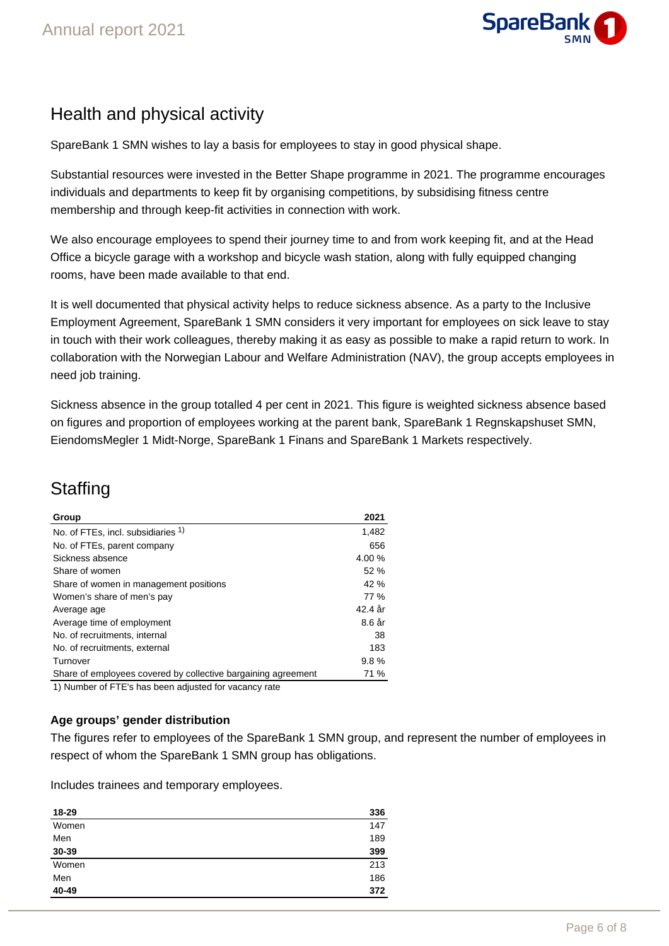

### Health and physical activity

SpareBank 1 SMN wishes to lay a basis for employees to stay in good physical shape.

Substantial resources were invested in the Better Shape programme in 2021. The programme encourages individuals and departments to keep fit by organising competitions, by subsidising fitness centre membership and through keep-fit activities in connection with work.

We also encourage employees to spend their journey time to and from work keeping fit, and at the Head Office a bicycle garage with a workshop and bicycle wash station, along with fully equipped changing rooms, have been made available to that end.

It is well documented that physical activity helps to reduce sickness absence. As a party to the Inclusive Employment Agreement, SpareBank 1 SMN considers it very important for employees on sick leave to stay in touch with their work colleagues, thereby making it as easy as possible to make a rapid return to work. In collaboration with the Norwegian Labour and Welfare Administration (NAV), the group accepts employees in need job training.

Sickness absence in the group totalled 4 per cent in 2021. This figure is weighted sickness absence based on figures and proportion of employees working at the parent bank, SpareBank 1 Regnskapshuset SMN, EiendomsMegler 1 Midt-Norge, SpareBank 1 Finans and SpareBank 1 Markets respectively.

# **Staffing**

| Group                                                                                                                                                                                                                                      | 2021    |
|--------------------------------------------------------------------------------------------------------------------------------------------------------------------------------------------------------------------------------------------|---------|
| No. of FTEs, incl. subsidiaries 1)                                                                                                                                                                                                         | 1,482   |
| No. of FTEs, parent company                                                                                                                                                                                                                | 656     |
| Sickness absence                                                                                                                                                                                                                           | 4.00%   |
| Share of women                                                                                                                                                                                                                             | 52%     |
| Share of women in management positions                                                                                                                                                                                                     | 42 %    |
| Women's share of men's pay                                                                                                                                                                                                                 | 77 %    |
| Average age                                                                                                                                                                                                                                | 42.4 år |
| Average time of employment                                                                                                                                                                                                                 | 8.6 år  |
| No. of recruitments, internal                                                                                                                                                                                                              | 38      |
| No. of recruitments, external                                                                                                                                                                                                              | 183     |
| Turnover                                                                                                                                                                                                                                   | 9.8%    |
| Share of employees covered by collective bargaining agreement                                                                                                                                                                              | 71 %    |
| $\mathbf{A} \mathbf{A} \mathbf{B}$ and the contract of the contract of the contract of the contract of the contract of the contract of the contract of the contract of the contract of the contract of the contract of the contract of the |         |

1) Number of FTE's has been adjusted for vacancy rate

### **Age groups' gender distribution**

The figures refer to employees of the SpareBank 1 SMN group, and represent the number of employees in respect of whom the SpareBank 1 SMN group has obligations.

Includes trainees and temporary employees.

| 18-29 | 336 |
|-------|-----|
| Women | 147 |
| Men   | 189 |
| 30-39 | 399 |
| Women | 213 |
| Men   | 186 |
| 40-49 | 372 |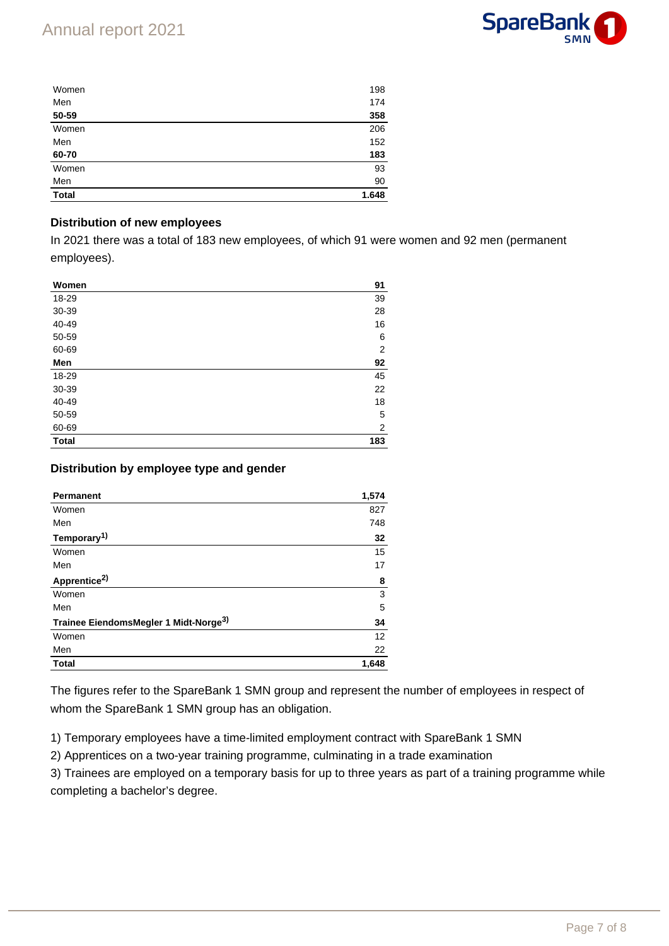

| Women        | 198   |
|--------------|-------|
| Men          | 174   |
| 50-59        | 358   |
| Women        | 206   |
| Men          | 152   |
| 60-70        | 183   |
| Women        | 93    |
| Men          | 90    |
| <b>Total</b> | 1.648 |

#### **Distribution of new employees**

In 2021 there was a total of 183 new employees, of which 91 were women and 92 men (permanent employees).

| Women        | 91             |
|--------------|----------------|
| 18-29        | 39             |
| 30-39        | 28             |
| 40-49        | 16             |
| 50-59        | 6              |
| 60-69        | $\overline{2}$ |
| Men          | 92             |
| 18-29        | 45             |
| 30-39        | 22             |
| 40-49        | 18             |
| 50-59        | 5              |
| 60-69        | 2              |
| <b>Total</b> | 183            |

#### **Distribution by employee type and gender**

| <b>Permanent</b>                                  | 1,574 |
|---------------------------------------------------|-------|
| Women                                             | 827   |
| Men                                               | 748   |
| Temporary <sup>1)</sup>                           | 32    |
| Women                                             | 15    |
| Men                                               | 17    |
| Apprentice <sup>2)</sup>                          | 8     |
| Women                                             | 3     |
| Men                                               | 5     |
| Trainee EiendomsMegler 1 Midt-Norge <sup>3)</sup> | 34    |
| Women                                             | 12    |
| Men                                               | 22    |
| <b>Total</b>                                      | 1,648 |

The figures refer to the SpareBank 1 SMN group and represent the number of employees in respect of whom the SpareBank 1 SMN group has an obligation.

1) Temporary employees have a time-limited employment contract with SpareBank 1 SMN

2) Apprentices on a two-year training programme, culminating in a trade examination

3) Trainees are employed on a temporary basis for up to three years as part of a training programme while completing a bachelor's degree.